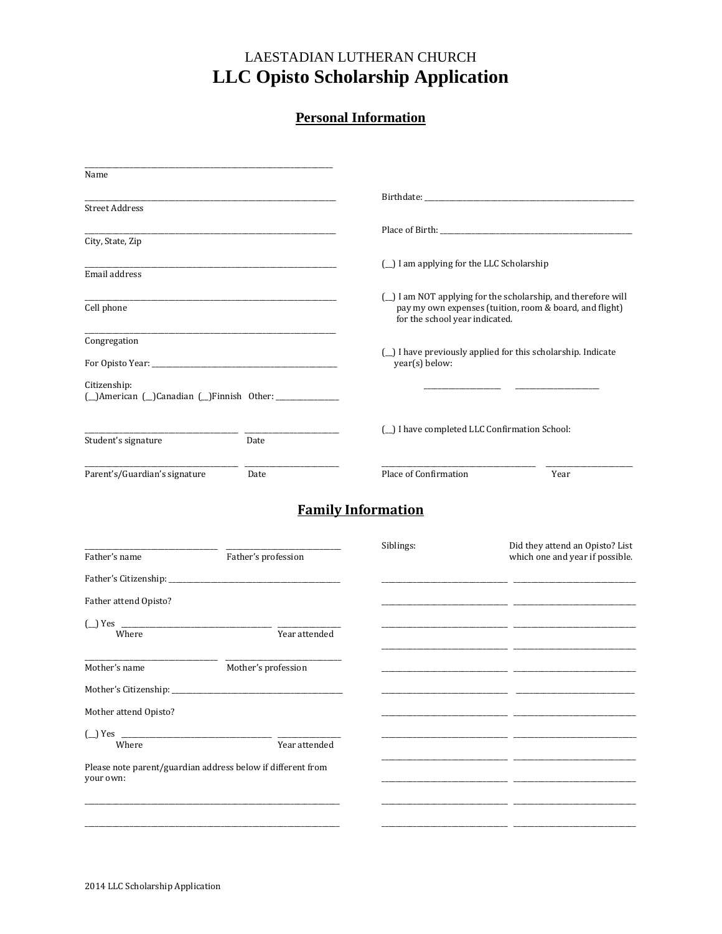# LAESTADIAN LUTHERAN CHURCH LLC Opisto Scholarship Application

# **Personal Information**

| Name                                                                     |                     |                                                                                                                                                                                                                                      |                                                                    |  |
|--------------------------------------------------------------------------|---------------------|--------------------------------------------------------------------------------------------------------------------------------------------------------------------------------------------------------------------------------------|--------------------------------------------------------------------|--|
| <b>Street Address</b>                                                    |                     |                                                                                                                                                                                                                                      |                                                                    |  |
|                                                                          |                     |                                                                                                                                                                                                                                      |                                                                    |  |
| City, State, Zip                                                         |                     |                                                                                                                                                                                                                                      |                                                                    |  |
| Email address                                                            |                     | (_) I am applying for the LLC Scholarship                                                                                                                                                                                            |                                                                    |  |
|                                                                          |                     |                                                                                                                                                                                                                                      | (_) I am NOT applying for the scholarship, and therefore will      |  |
| Cell phone                                                               |                     | for the school year indicated.                                                                                                                                                                                                       | pay my own expenses (tuition, room & board, and flight)            |  |
| Congregation                                                             |                     |                                                                                                                                                                                                                                      |                                                                    |  |
|                                                                          |                     | (_) I have previously applied for this scholarship. Indicate<br>year(s) below:                                                                                                                                                       |                                                                    |  |
| Citizenship:<br>[_]American (_]Canadian (_]Finnish Other: __________     |                     | <u> 1989 - Alexandr Store Barnett and Store Barnett and Store Barnett and Store Barnett and Store Barnett and Store Barnett and Store Barnett and Store Barnett and Store Barnett and Store Barnett and Store Barnett and Store </u> |                                                                    |  |
|                                                                          |                     | (_) I have completed LLC Confirmation School:                                                                                                                                                                                        |                                                                    |  |
| Student's signature                                                      | Date                |                                                                                                                                                                                                                                      |                                                                    |  |
| Parent's/Guardian's signature                                            | Date                | Place of Confirmation                                                                                                                                                                                                                | Year                                                               |  |
|                                                                          |                     | <b>Family Information</b>                                                                                                                                                                                                            |                                                                    |  |
| Father's name                                                            | Father's profession | Siblings:                                                                                                                                                                                                                            | Did they attend an Opisto? List<br>which one and year if possible. |  |
|                                                                          |                     |                                                                                                                                                                                                                                      |                                                                    |  |
| Father attend Opisto?                                                    |                     |                                                                                                                                                                                                                                      |                                                                    |  |
| $\left(\_\right)$ Yes Where                                              |                     |                                                                                                                                                                                                                                      |                                                                    |  |
|                                                                          | Year attended       |                                                                                                                                                                                                                                      |                                                                    |  |
| Mother's name                                                            | Mother's profession |                                                                                                                                                                                                                                      |                                                                    |  |
| Mother's Citizenship:                                                    |                     |                                                                                                                                                                                                                                      |                                                                    |  |
| Mother attend Opisto?                                                    |                     |                                                                                                                                                                                                                                      |                                                                    |  |
| $\Box$ ) Yes                                                             |                     |                                                                                                                                                                                                                                      |                                                                    |  |
| Where                                                                    | Year attended       |                                                                                                                                                                                                                                      |                                                                    |  |
| Please note parent/guardian address below if different from<br>your own: |                     |                                                                                                                                                                                                                                      |                                                                    |  |
|                                                                          |                     |                                                                                                                                                                                                                                      |                                                                    |  |
|                                                                          |                     |                                                                                                                                                                                                                                      |                                                                    |  |
|                                                                          |                     |                                                                                                                                                                                                                                      |                                                                    |  |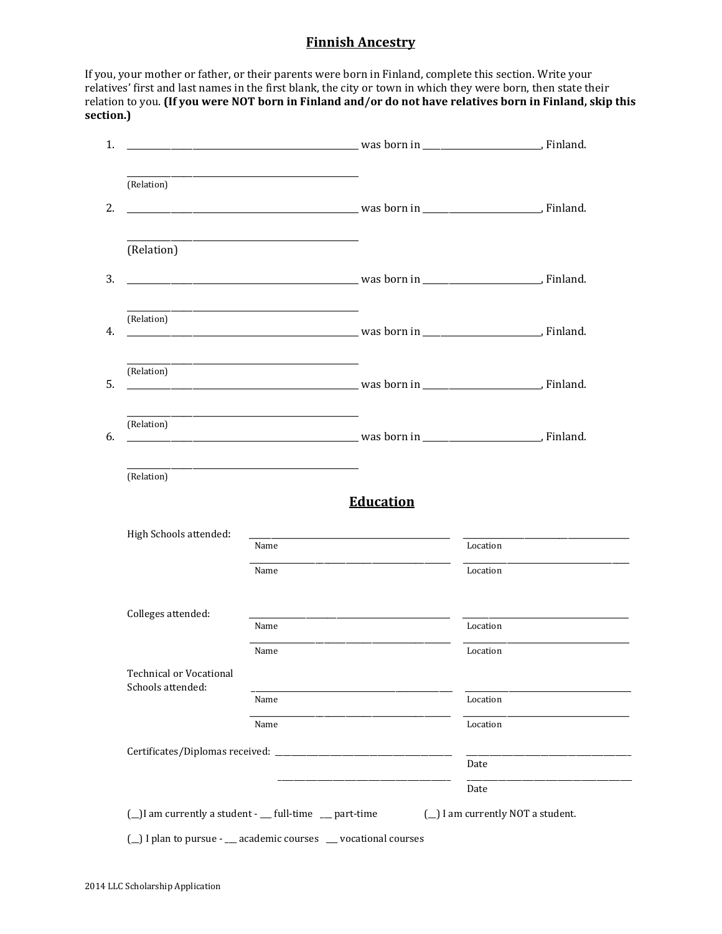#### **Finnish Ancestry**

If you, your mother or father, or their parents were born in Finland, complete this section. Write your relatives' first and last names in the first blank, the city or town in which they were born, then state their relation to you. **(If you were NOT born in Finland and/or do not have relatives born in Finland, skip this section.)**

| (Relation)                                          |                                                                                           |                                    |          |
|-----------------------------------------------------|-------------------------------------------------------------------------------------------|------------------------------------|----------|
|                                                     |                                                                                           |                                    |          |
| (Relation)                                          | the control of the control of the control of the control of the control of                |                                    |          |
|                                                     |                                                                                           |                                    |          |
| (Relation)                                          | the control of the control of the control of the control of the control of the control of |                                    |          |
| (Relation)                                          |                                                                                           |                                    |          |
|                                                     |                                                                                           |                                    |          |
| (Relation)                                          |                                                                                           | $\sim$ was born in $\sim$ Finland. |          |
| (Relation)                                          |                                                                                           |                                    |          |
|                                                     |                                                                                           | <b>Education</b>                   |          |
| High Schools attended:                              | Name                                                                                      |                                    | Location |
|                                                     | Name                                                                                      |                                    | Location |
| Colleges attended:                                  |                                                                                           |                                    |          |
|                                                     | Name                                                                                      | Location                           |          |
|                                                     |                                                                                           |                                    |          |
|                                                     | Name                                                                                      |                                    | Location |
| <b>Technical or Vocational</b><br>Schools attended: |                                                                                           |                                    |          |
|                                                     | Name                                                                                      |                                    | Location |
|                                                     | Name                                                                                      |                                    | Location |
|                                                     |                                                                                           | Date                               |          |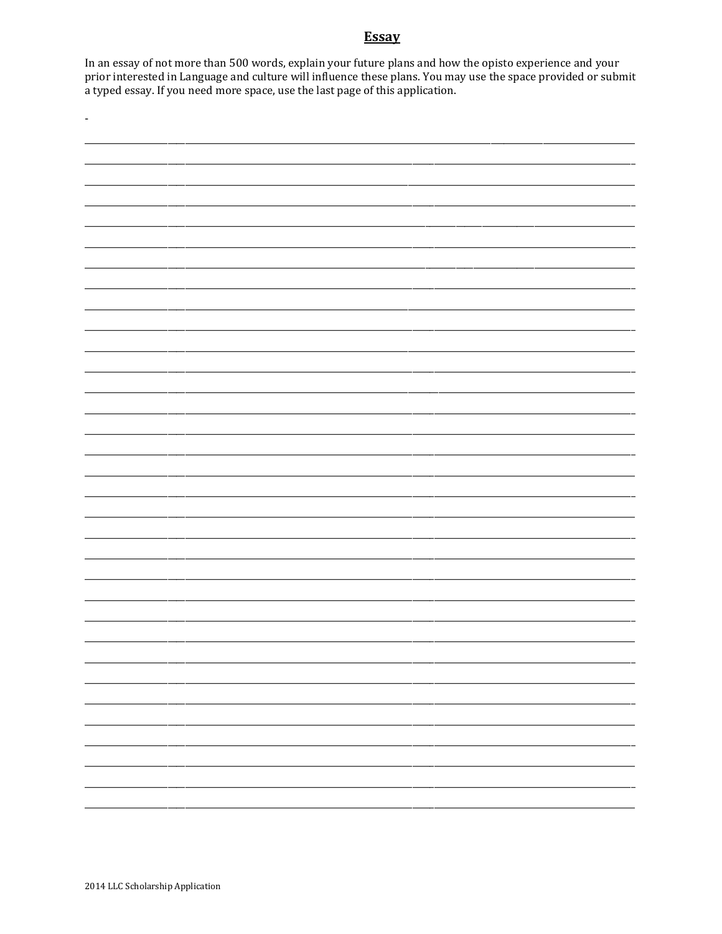#### **Essay**

In an essay of not more than 500 words, explain your future plans and how the opisto experience and your prior interested in Language and culture will influence these plans. You may use the space provided or submit a typed essay. If you need more space, use the last page of this application.

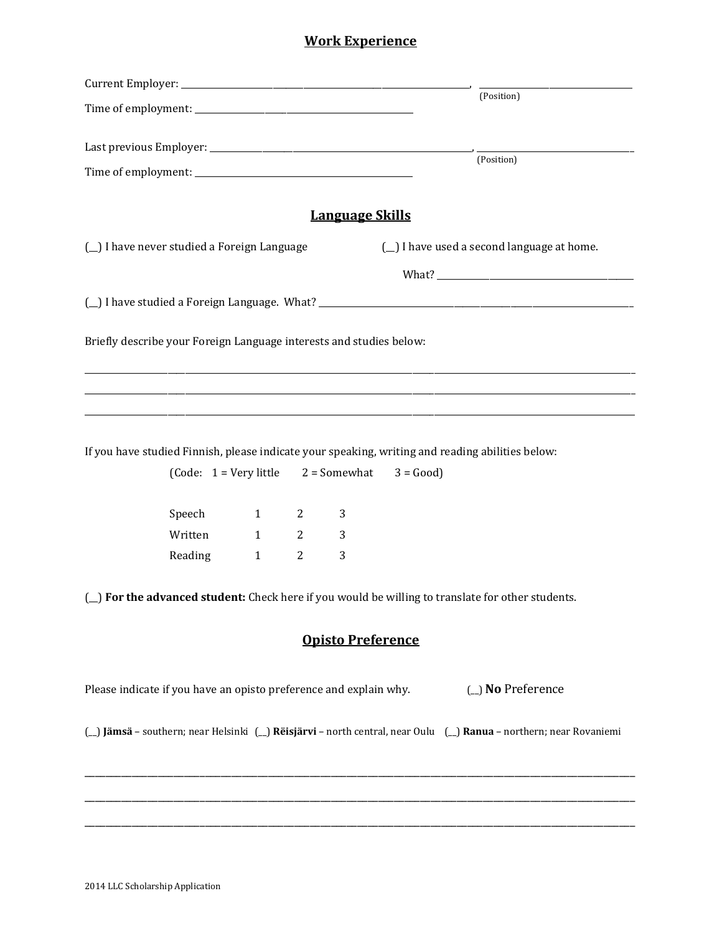#### **Work Experience**

|                                                                                   | (Position)                                 |
|-----------------------------------------------------------------------------------|--------------------------------------------|
|                                                                                   | (Position)                                 |
|                                                                                   |                                            |
|                                                                                   | <b>Language Skills</b>                     |
| (_) I have never studied a Foreign Language                                       | (_) I have used a second language at home. |
|                                                                                   |                                            |
|                                                                                   |                                            |
| Briefly describe your Foreign Language interests and studies below:               |                                            |
| ,我们也不能会有什么。""我们的人,我们也不能会有什么?""我们的人,我们也不能会有什么?""我们的人,我们也不能会有什么?""我们的人,我们也不能会有什么?"" |                                            |
|                                                                                   |                                            |
|                                                                                   |                                            |

If you have studied Finnish, please indicate your speaking, writing and reading abilities below:

|         | $\text{(\text{Code: } 1 = \text{Very little } 2 = \text{Somewhat } 3 = \text{Good})}$ |   |   |  |
|---------|---------------------------------------------------------------------------------------|---|---|--|
|         |                                                                                       |   |   |  |
| Speech  | $\overline{1}$                                                                        | 2 | 3 |  |
| Written | 1                                                                                     | 2 | 3 |  |
| Reading | 1                                                                                     |   | 3 |  |

(\_\_) **For the advanced student:** Check here if you would be willing to translate for other students.

# **Opisto Preference**

Please indicate if you have an opisto preference and explain why. (\_\_) **No** Preference

(\_\_) **Jämsä** – southern; near Helsinki (\_\_) **Rëisjärvi** – north central, near Oulu (\_\_) **Ranua** – northern; near Rovaniemi

\_\_\_\_\_\_\_\_\_\_\_\_\_\_\_\_\_\_\_\_\_\_\_\_\_\_\_\_\_\_\_\_\_\_\_\_\_\_\_\_\_\_\_\_\_\_\_\_\_\_\_\_\_\_\_\_\_\_\_\_\_\_\_\_\_\_\_\_\_\_\_\_\_\_\_\_\_\_\_\_\_\_\_\_\_\_\_\_\_\_\_\_\_\_\_\_\_\_\_\_\_\_\_\_\_

\_\_\_\_\_\_\_\_\_\_\_\_\_\_\_\_\_\_\_\_\_\_\_\_\_\_\_\_\_\_\_\_\_\_\_\_\_\_\_\_\_\_\_\_\_\_\_\_\_\_\_\_\_\_\_\_\_\_\_\_\_\_\_\_\_\_\_\_\_\_\_\_\_\_\_\_\_\_\_\_\_\_\_\_\_\_\_\_\_\_\_\_\_\_\_\_\_\_\_\_\_\_\_\_\_

\_\_\_\_\_\_\_\_\_\_\_\_\_\_\_\_\_\_\_\_\_\_\_\_\_\_\_\_\_\_\_\_\_\_\_\_\_\_\_\_\_\_\_\_\_\_\_\_\_\_\_\_\_\_\_\_\_\_\_\_\_\_\_\_\_\_\_\_\_\_\_\_\_\_\_\_\_\_\_\_\_\_\_\_\_\_\_\_\_\_\_\_\_\_\_\_\_\_\_\_\_\_\_\_\_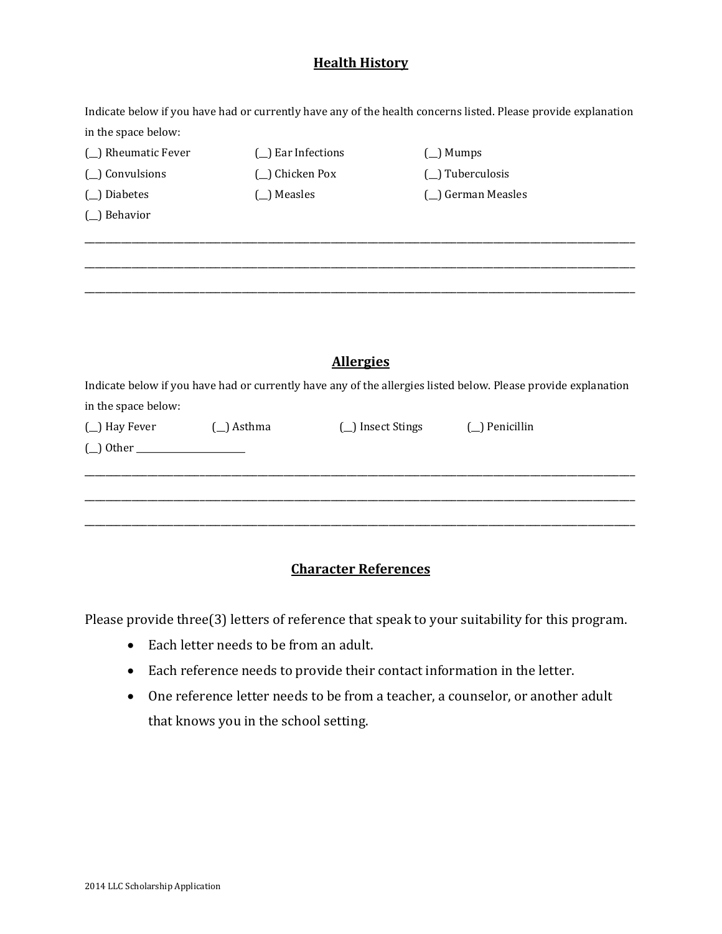# **Health History**

Indicate below if you have had or currently have any of the health concerns listed. Please provide explanation in the space below:

| (_) Rheumatic Fever                      | (_) Ear Infections |                   | $(\_)$ Mumps                                                                                                   |  |
|------------------------------------------|--------------------|-------------------|----------------------------------------------------------------------------------------------------------------|--|
| (_) Convulsions                          | (_) Chicken Pox    |                   | (_) Tuberculosis                                                                                               |  |
| (_) Diabetes                             | $(\_)$ Measles     |                   | (_) German Measles                                                                                             |  |
| (_) Behavior                             |                    |                   |                                                                                                                |  |
|                                          |                    |                   |                                                                                                                |  |
|                                          |                    |                   |                                                                                                                |  |
|                                          |                    |                   |                                                                                                                |  |
|                                          |                    |                   |                                                                                                                |  |
|                                          |                    | <b>Allergies</b>  |                                                                                                                |  |
|                                          |                    |                   | Indicate below if you have had or currently have any of the allergies listed below. Please provide explanation |  |
| in the space below:                      |                    |                   |                                                                                                                |  |
| (_) Hay Fever (_) Asthma<br>$(\_)$ Other |                    | (_) Insect Stings | $(\_)$ Penicillin                                                                                              |  |
|                                          |                    |                   |                                                                                                                |  |
|                                          |                    |                   |                                                                                                                |  |
|                                          |                    |                   |                                                                                                                |  |
|                                          |                    |                   |                                                                                                                |  |

### **Character References**

Please provide three(3) letters of reference that speak to your suitability for this program.

- Each letter needs to be from an adult.
- Each reference needs to provide their contact information in the letter.
- One reference letter needs to be from a teacher, a counselor, or another adult that knows you in the school setting.